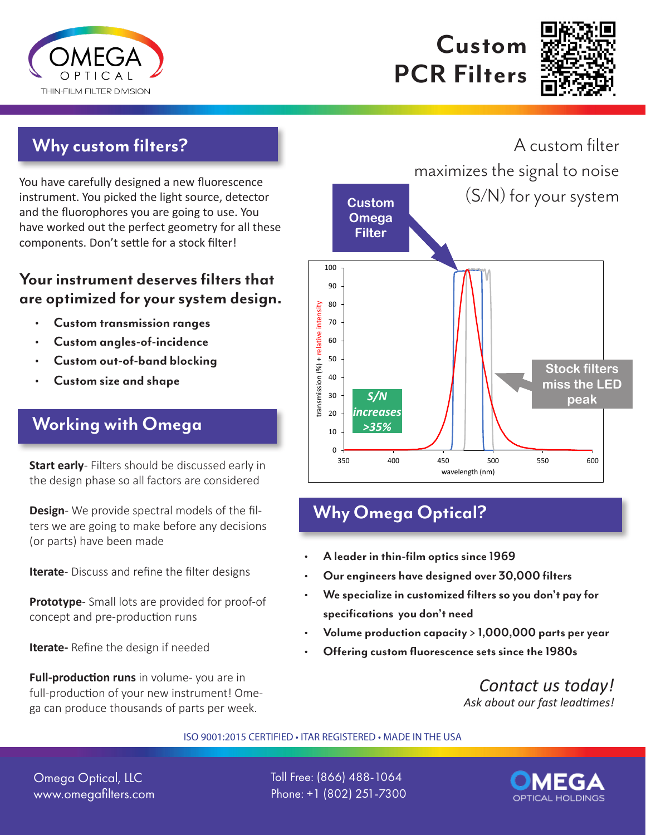





You have carefully designed a new fluorescence instrument. You picked the light source, detector and the fluorophores you are going to use. You have worked out the perfect geometry for all these components. Don't settle for a stock filter!

### **Your instrument deserves filters that are optimized for your system design.**

- **• Custom transmission ranges**
- **• Custom angles-of-incidence**
- **• Custom out-of-band blocking**
- **• Custom size and shape**

# **Working with Omega**

**Start early**- Filters should be discussed early in the design phase so all factors are considered

**Design**- We provide spectral models of the filters we are going to make before any decisions (or parts) have been made

**Iterate**- Discuss and refine the filter designs

**Prototype**- Small lots are provided for proof-of concept and pre-production runs

**Iterate-** Refine the design if needed

**Full-production runs** in volume- you are in full-production of your new instrument! Omega can produce thousands of parts per week.



# **Why Omega Optical?**

- **• A leader in thin-film optics since 1969**
- **• Our engineers have designed over 30,000 filters**
- **• We specialize in customized filters so you don't pay for specifications you don't need**
- **• Volume production capacity > 1,000,000 parts per year**
- **• Offering custom fluorescence sets since the 1980s**

#### *Contact us today! Ask about our fast leadtimes!*

#### ISO 9001:2015 CERTIFIED • ITAR REGISTERED • MADE IN THE USA

Omega Optical, LLC www.omegafilters.com Toll Free: (866) 488-1064 Phone: +1 (802) 251-7300